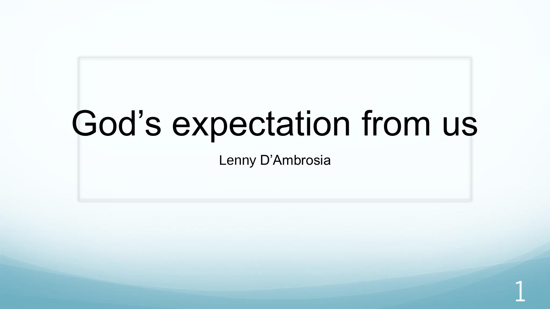# God's expectation from us

Lenny D'Ambrosia

1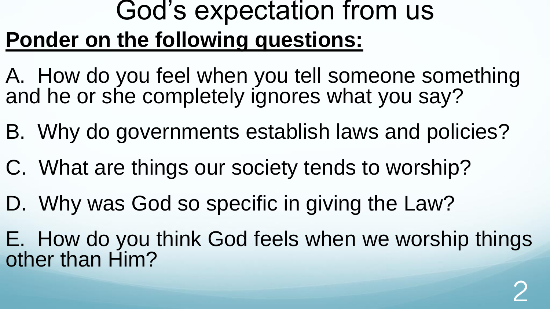## God's expectation from us **Ponder on the following questions:**

- A. How do you feel when you tell someone something and he or she completely ignores what you say?
- B. Why do governments establish laws and policies?
- C. What are things our society tends to worship?
- D. Why was God so specific in giving the Law?
- E. How do you think God feels when we worship things other than Him?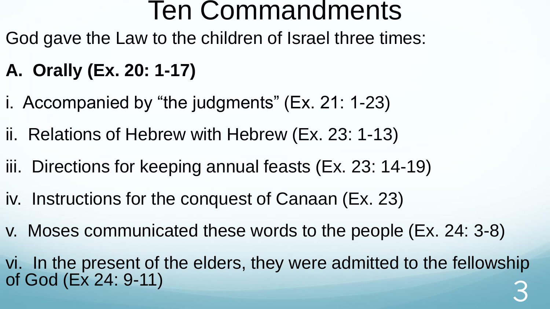God gave the Law to the children of Israel three times:

### **A. Orally (Ex. 20: 1-17)**

- i. Accompanied by "the judgments" (Ex. 21: 1-23)
- ii. Relations of Hebrew with Hebrew (Ex. 23: 1-13)
- iii. Directions for keeping annual feasts (Ex. 23: 14-19)
- iv. Instructions for the conquest of Canaan (Ex. 23)
- v. Moses communicated these words to the people (Ex. 24: 3-8)
- vi. In the present of the elders, they were admitted to the fellowship of God (Ex 24: 9-11) 3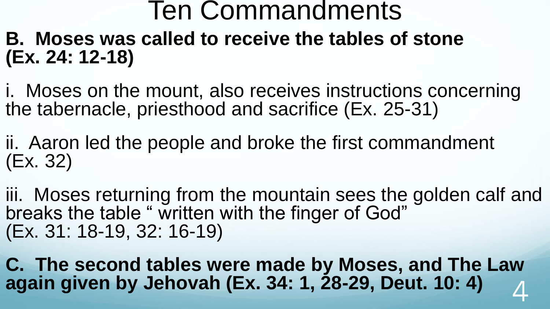### **B. Moses was called to receive the tables of stone (Ex. 24: 12-18)**

i. Moses on the mount, also receives instructions concerning the tabernacle, priesthood and sacrifice (Ex. 25-31)

ii. Aaron led the people and broke the first commandment (Ex. 32)

iii. Moses returning from the mountain sees the golden calf and breaks the table " written with the finger of God" (Ex. 31: 18-19, 32: 16-19)

**C. The second tables were made by Moses, and The Law again given by Jehovah (Ex. 34: 1, 28-29, Deut. 10: 4)** 4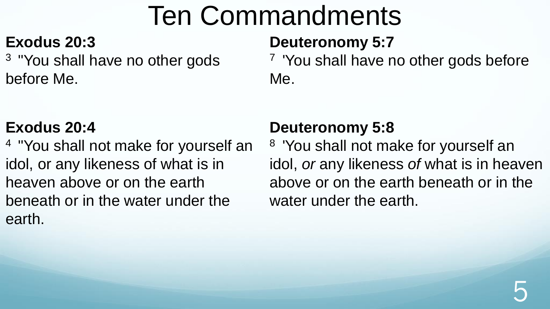#### **Exodus 20:3**

<sup>3</sup> "You shall have no other gods before Me.

#### **Exodus 20:4**

<sup>4</sup>"You shall not make for yourself an idol, or any likeness of what is in heaven above or on the earth beneath or in the water under the earth.

### **Deuteronomy 5:7**

<sup>7</sup> 'You shall have no other gods before Me.

### **Deuteronomy 5:8**

<sup>8</sup> 'You shall not make for yourself an idol, *or* any likeness *of* what is in heaven above or on the earth beneath or in the water under the earth.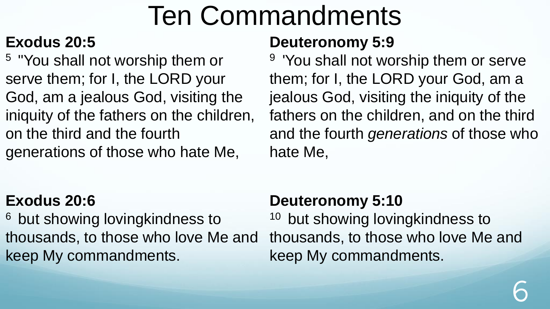### **Exodus 20:5**

<sup>5</sup>"You shall not worship them or serve them; for I, the LORD your God, am a jealous God, visiting the iniquity of the fathers on the children, on the third and the fourth generations of those who hate Me,

#### **Exodus 20:6**

<sup>6</sup> but showing lovingkindness to thousands, to those who love Me and keep My commandments.

#### **Deuteronomy 5:9**

<sup>9</sup> 'You shall not worship them or serve them; for I, the LORD your God, am a jealous God, visiting the iniquity of the fathers on the children, and on the third and the fourth *generations* of those who hate Me,

#### **Deuteronomy 5:10**

<sup>10</sup> but showing lovingkindness to thousands, to those who love Me and keep My commandments.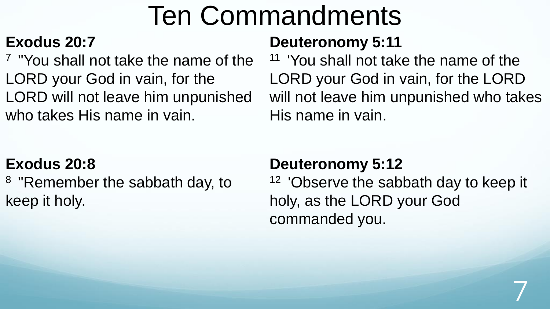#### **Exodus 20:7**

<sup>7</sup> "You shall not take the name of the LORD your God in vain, for the LORD will not leave him unpunished who takes His name in vain.

#### **Deuteronomy 5:11**

<sup>11</sup> 'You shall not take the name of the LORD your God in vain, for the LORD will not leave him unpunished who takes His name in vain.

#### **Exodus 20:8**

<sup>8</sup> "Remember the sabbath day, to keep it holy.

#### **Deuteronomy 5:12**

<sup>12</sup> 'Observe the sabbath day to keep it holy, as the LORD your God commanded you.

7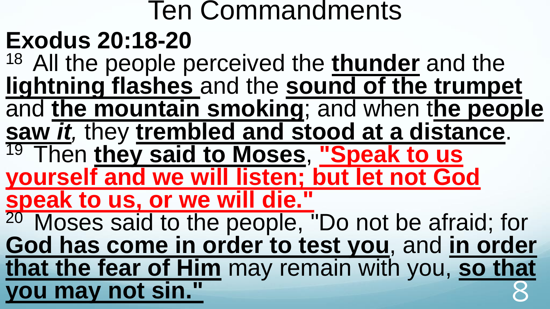### Ten Commandments **Exodus 20:18-20** <sup>18</sup> All the people perceived the **thunder** and the **lightning flashes** and the **sound of the trumpet**  and **the mountain smoking**; and when t**he people saw** *it,* they **trembled and stood at a distance**. <sup>19</sup>Then **they said to Moses**, **"Speak to us yourself and we will listen; but let not God speak to us, or we will die."**  <sup>20</sup> Moses said to the people, "Do not be afraid; for **God has come in order to test you**, and **in order that the fear of Him** may remain with you, **so that you may not sin."**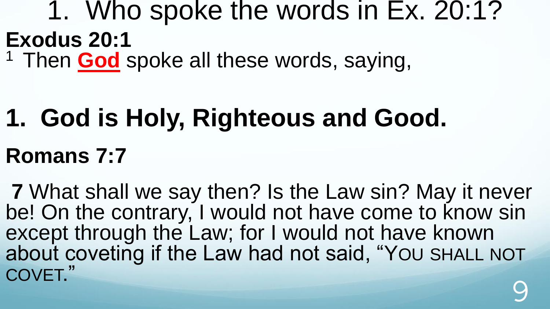### 1. Who spoke the words in Ex. 20:1? **Exodus 20:1** <sup>1</sup> Then **God** spoke all these words, saying,

# **1. God is Holy, Righteous and Good. Romans 7:7**

**7** What shall we say then? Is the Law sin? May it never be! On the contrary, I would not have come to know sin except through the Law; for I would not have known about coveting if the Law had not said, "YOU SHALL NOT COVET." 9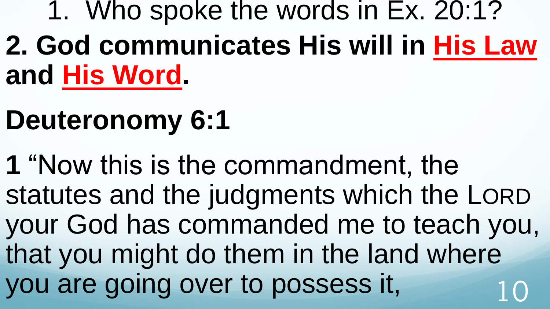1. Who spoke the words in Ex. 20:1? **2. God communicates His will in His Law and His Word.**

# **Deuteronomy 6:1**

**1** "Now this is the commandment, the statutes and the judgments which the LORD your God has commanded me to teach you, that you might do them in the land where you are going over to possess it,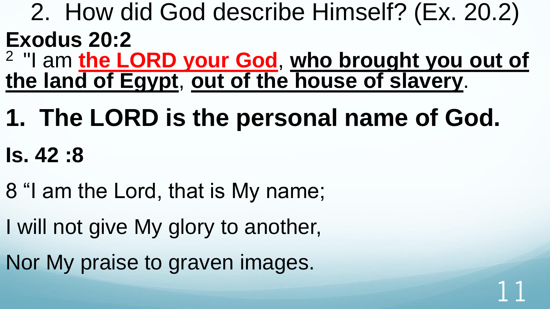- 2. How did God describe Himself? (Ex. 20.2) **Exodus 20:2**
- <sup>2</sup>"I am **the LORD your God**, **who brought you out of the land of Egypt**, **out of the house of slavery**.

11

- **1. The LORD is the personal name of God. Is. 42 :8**
- 8 "I am the Lord, that is My name;
- I will not give My glory to another,
- Nor My praise to graven images.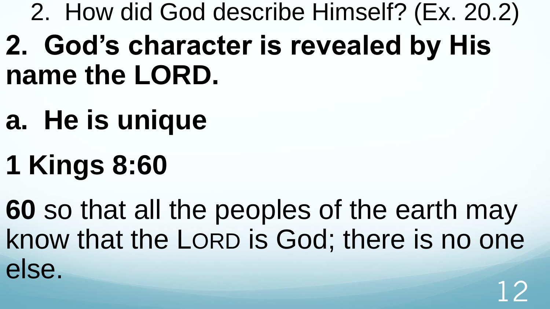2. How did God describe Himself? (Ex. 20.2) **2. God's character is revealed by His name the LORD.**

- **a. He is unique**
- **1 Kings 8:60**

**60** so that all the peoples of the earth may know that the LORD is God; there is no one else. 12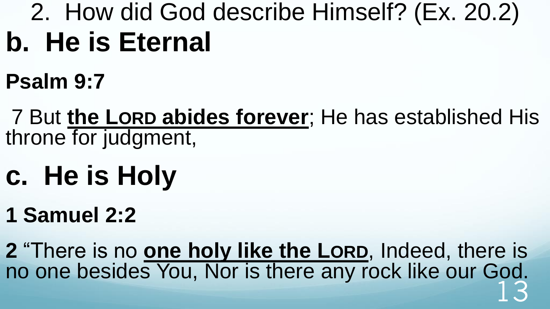## 2. How did God describe Himself? (Ex. 20.2) **b. He is Eternal**

**Psalm 9:7** 

7 But **the LORD abides forever**; He has established His throne for judgment,

- **c. He is Holy**
- **1 Samuel 2:2**

**2** "There is no **one holy like the LORD**, Indeed, there is no one besides You, Nor is there any rock like our God. 13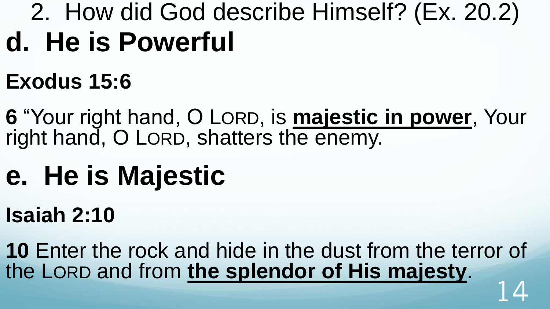## 2. How did God describe Himself? (Ex. 20.2) **d. He is Powerful**

## **Exodus 15:6**

**6** "Your right hand, O LORD, is **majestic in power**, Your right hand, O LORD, shatters the enemy.

# **e. He is Majestic**

## **Isaiah 2:10**

**10** Enter the rock and hide in the dust from the terror of the LORD and from **the splendor of His majesty**. 14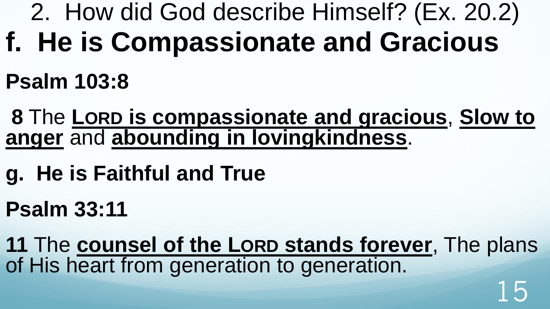- 2. How did God describe Himself? (Ex. 20.2)
- **f. He is Compassionate and Gracious**
- **Psalm 103:8**
- **8** The **LORD is compassionate and gracious**, **Slow to anger** and **abounding in lovingkindness**.
- **g. He is Faithful and True**
- **Psalm 33:11**
- **11** The **counsel of the LORD stands forever**, The plans of His heart from generation to generation. 15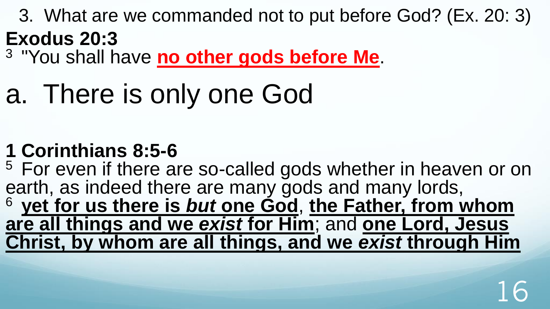3. What are we commanded not to put before God? (Ex. 20: 3) **Exodus 20:3**

<sup>3</sup>"You shall have **no other gods before Me**.

# a. There is only one God

### **1 Corinthians 8:5-6**

<sup>5</sup> For even if there are so-called gods whether in heaven or on earth, as indeed there are many gods and many lords, <sup>6</sup>**yet for us there is** *but* **one God**, **the Father, from whom are all things and we** *exist* **for Him**; and **one Lord, Jesus Christ, by whom are all things, and we** *exist* **through Him**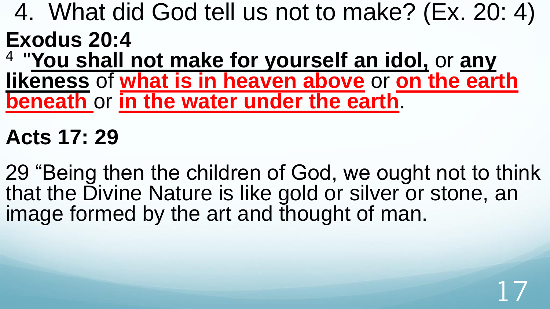4. What did God tell us not to make? (Ex. 20: 4) **Exodus 20:4**

4 "**You shall not make for yourself an idol,** or **any likeness** of **what is in heaven above** or **on the earth beneath** or **in the water under the earth**.

**Acts 17: 29**

29 "Being then the children of God, we ought not to think that the Divine Nature is like gold or silver or stone, an image formed by the art and thought of man.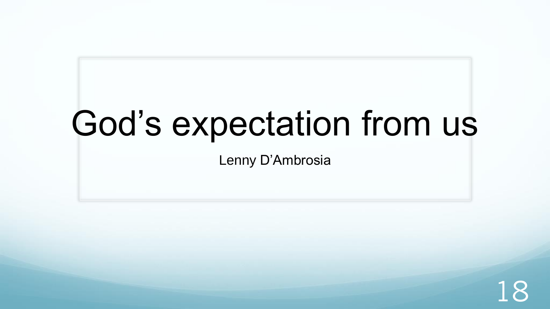# God's expectation from us

Lenny D'Ambrosia

18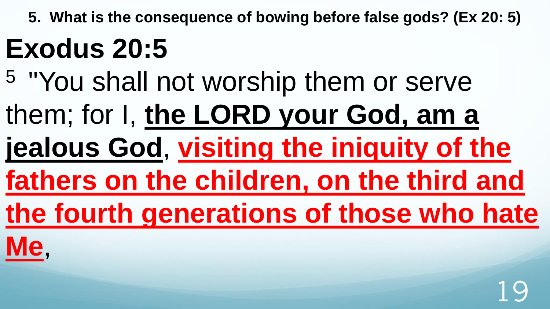**5. What is the consequence of bowing before false gods? (Ex 20: 5)**

# **Exodus 20:5**

- <sup>5</sup>"You shall not worship them or serve
- them; for I, **the LORD your God, am a**
- **jealous God**, **visiting the iniquity of the**
- **fathers on the children, on the third and**
- **the fourth generations of those who hate**
- **Me**,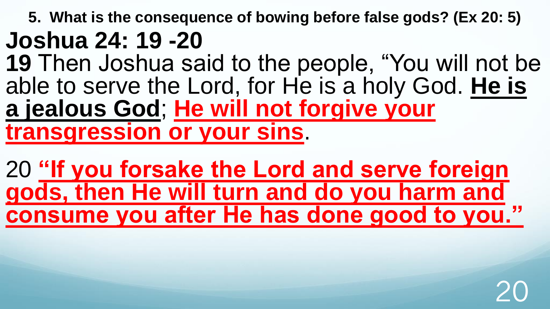**5. What is the consequence of bowing before false gods? (Ex 20: 5) Joshua 24: 19 -20**

**19** Then Joshua said to the people, "You will not be able to serve the Lord, for He is a holy God. **He is a jealous God**; **He will not forgive your transgression or your sins**.

20 **"If you forsake the Lord and serve foreign gods, then He will turn and do you harm and consume you after He has done good to you."**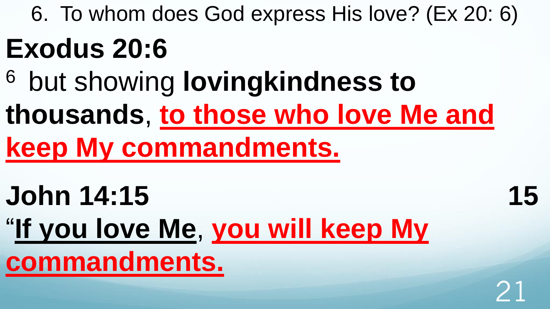# 6. To whom does God express His love? (Ex 20: 6) **Exodus 20:6**

- <sup>6</sup> but showing lovingkindness to
- **thousands**, **to those who love Me and keep My commandments.**

21

**John 14:15 15** "**If you love Me**, **you will keep My commandments.**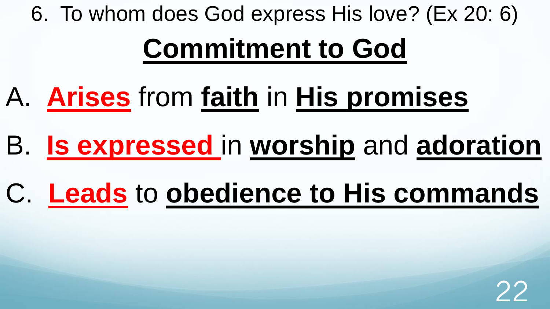6. To whom does God express His love? (Ex 20: 6)

# **Commitment to God**

- A. **Arises** from **faith** in **His promises**
- B. **Is expressed** in **worship** and **adoration**
- C. **Leads** to **obedience to His commands**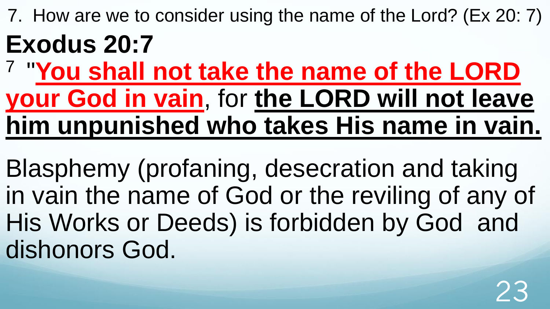7. How are we to consider using the name of the Lord? (Ex 20: 7) **Exodus 20:7**

7 "**You shall not take the name of the LORD your God in vain**, for **the LORD will not leave him unpunished who takes His name in vain.** 

Blasphemy (profaning, desecration and taking in vain the name of God or the reviling of any of His Works or Deeds) is forbidden by God and dishonors God.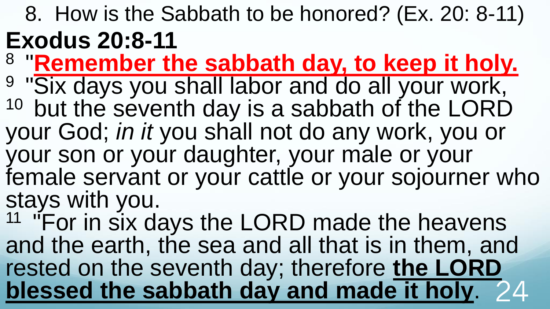8. How is the Sabbath to be honored? (Ex. 20: 8-11) **Exodus 20:8-11** 

- 8 "**Remember the sabbath day, to keep it holy.**
- <sup>9</sup> "Six days you shall labor and do all your work,
- $10$  but the seventh day is a sabbath of the LORD your God; *in it* you shall not do any work, you or
- your son or your daughter, your male or your female servant or your cattle or your sojourner who stays with you.

<sup>11</sup> "For in six days the LORD made the heavens" and the earth, the sea and all that is in them, and rested on the seventh day; therefore **the LORD blessed the sabbath day and made it holy**. 24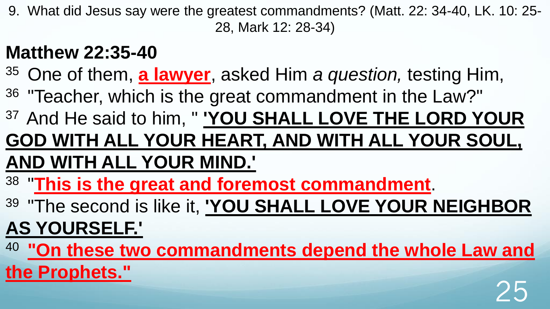9. What did Jesus say were the greatest commandments? (Matt. 22: 34-40, LK. 10: 25- 28, Mark 12: 28-34)

### **Matthew 22:35-40**

- <sup>35</sup> One of them, **a lawyer**, asked Him *a question*, testing Him,
- <sup>36</sup> "Teacher, which is the great commandment in the Law?"
- <sup>37</sup>And He said to him, " **'YOU SHALL LOVE THE LORD YOUR**

### **GOD WITH ALL YOUR HEART, AND WITH ALL YOUR SOUL, AND WITH ALL YOUR MIND.'**

- 38 "**This is the great and foremost commandment**.
- <sup>39</sup>"The second is like it, **'YOU SHALL LOVE YOUR NEIGHBOR**

### **AS YOURSELF.'**

<sup>40</sup>**"On these two commandments depend the whole Law and** 

25

**the Prophets."**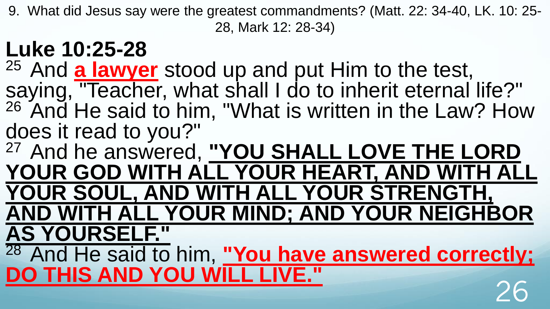9. What did Jesus say were the greatest commandments? (Matt. 22: 34-40, LK. 10: 25- 28, Mark 12: 28-34)

## **Luke 10:25-28**

<sup>25</sup> And **a lawyer** stood up and put Him to the test, saying, "Teacher, what shall I do to inherit eternal life?"  $26$  And He said to him, "What is written in the Law? How does it read to you?"

<sup>27</sup>And he answered, **"YOU SHALL LOVE THE LORD YOUR GOD WITH ALL YOUR HEART, AND WITH ALL YOUR SOUL, AND WITH ALL YOUR STRENGTH, AND WITH ALL YOUR MIND; AND YOUR NEIGHBOR AS YOURSELF."** 

<sup>28</sup> And He said to him, "You have answered correctly; **DO THIS AND YOU WILL LIVE."** 26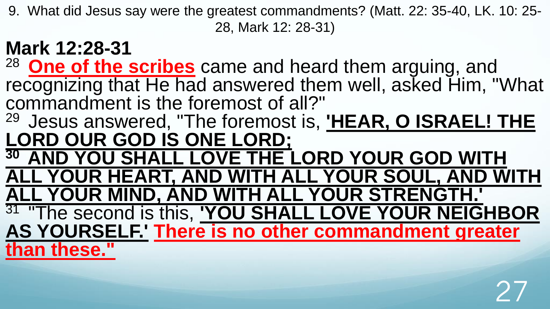9. What did Jesus say were the greatest commandments? (Matt. 22: 35-40, LK. 10: 25- 28, Mark 12: 28-31)

#### **Mark 12:28-31**  <sup>28</sup>**One of the scribes** came and heard them arguing, and recognizing that He had answered them well, asked Him, "What commandment is the foremost of all?" <sup>29</sup> Jesus answered, "The foremost is, **'HEAR, O ISRAEL! THE LORD OUR GOD IS ONE LORD; <sup>30</sup>AND YOU SHALL LOVE THE LORD YOUR GOD WITH ALL YOUR HEART, AND WITH ALL YOUR SOUL, AND WITH ALL YOUR MIND, AND WITH ALL YOUR STRENGTH.'**  <sup>31</sup>"The second is this, **'YOU SHALL LOVE YOUR NEIGHBOR AS YOURSELF.' There is no other commandment greater than these."**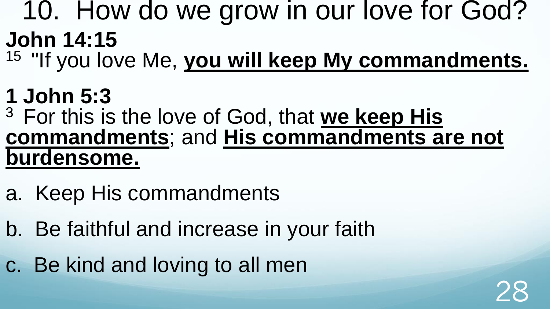### 10. How do we grow in our love for God? **John 14:15**

<sup>15</sup> "If you love Me, you will keep My commandments.

### **1 John 5:3**

### <sup>3</sup>For this is the love of God, that **we keep His commandments**; and **His commandments are not burdensome.**

28

- a. Keep His commandments
- b. Be faithful and increase in your faith
- c. Be kind and loving to all men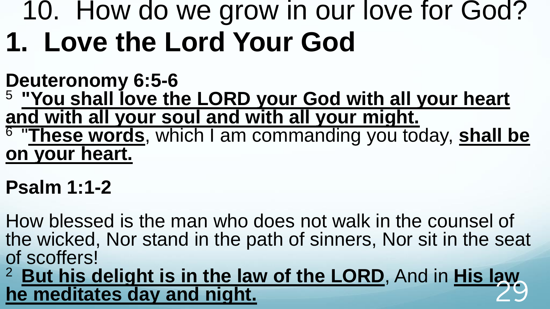## 10. How do we grow in our love for God? **1. Love the Lord Your God**

**Deuteronomy 6:5-6** <sup>5</sup>**"You shall love the LORD your God with all your heart and with all your soul and with all your might.**  6 "**These words**, which I am commanding you today, **shall be on your heart.**

### **Psalm 1:1-2**

How blessed is the man who does not walk in the counsel of the wicked, Nor stand in the path of sinners, Nor sit in the seat of scoffers!

<sup>2</sup>**But his delight is in the law of the LORD**, And in **His law**  he meditates day and night.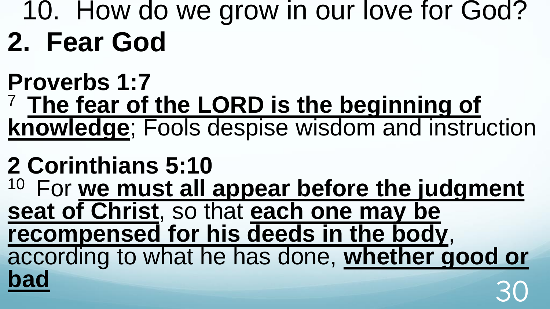## 10. How do we grow in our love for God? **2. Fear God**

**Proverbs 1:7** <sup>7</sup>**The fear of the LORD is the beginning of knowledge**; Fools despise wisdom and instruction

**2 Corinthians 5:10** <sup>10</sup> For we must all appear before the judgment **seat of Christ**, so that **each one may be recompensed for his deeds in the body**, according to what he has done, **whether good or bad** 30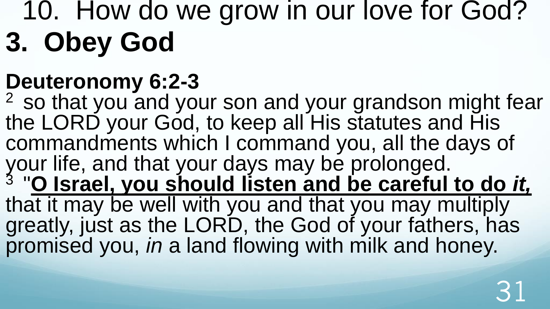## 10. How do we grow in our love for God? **3. Obey God**

## **Deuteronomy 6:2-3**

<sup>2</sup> so that you and your son and your grandson might fear the LORD your God, to keep all His statutes and His commandments which I command you, all the days of your life, and that your days may be prolonged. 3 "**O Israel, you should listen and be careful to do** *it,* that it may be well with you and that you may multiply greatly, just as the LORD, the God of your fathers, has promised you, *in* a land flowing with milk and honey.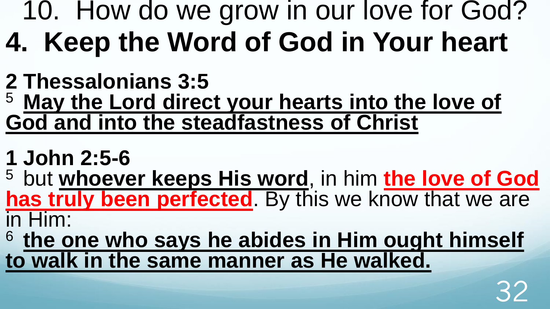# 10. How do we grow in our love for God? **4. Keep the Word of God in Your heart**

- **2 Thessalonians 3:5**
- <sup>5</sup>**May the Lord direct your hearts into the love of God and into the steadfastness of Christ**
- **1 John 2:5-6**
- <sup>5</sup> but whoever keeps His word, in him the love of God **has truly been perfected**. By this we know that we are in Him:
- <sup>6</sup>**the one who says he abides in Him ought himself to walk in the same manner as He walked.**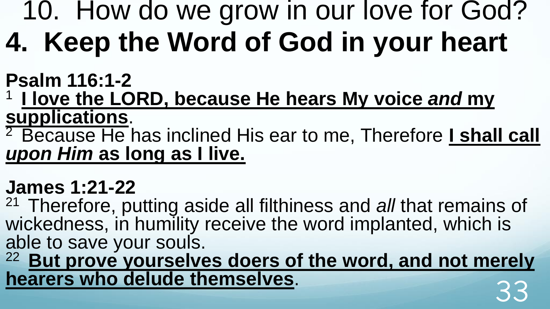# 10. How do we grow in our love for God? **4. Keep the Word of God in your heart**

**Psalm 116:1-2**

<sup>1</sup>**I love the LORD, because He hears My voice** *and* **my supplications**.

<sup>2</sup> Because He has inclined His ear to me, Therefore *I shall call upon Him* **as long as I live.** 

### **James 1:21-22**

<sup>21</sup>Therefore, putting aside all filthiness and *all* that remains of wickedness, in humility receive the word implanted, which is able to save your souls.

<sup>22</sup>**But prove yourselves doers of the word, and not merely hearers who delude themselves**. 33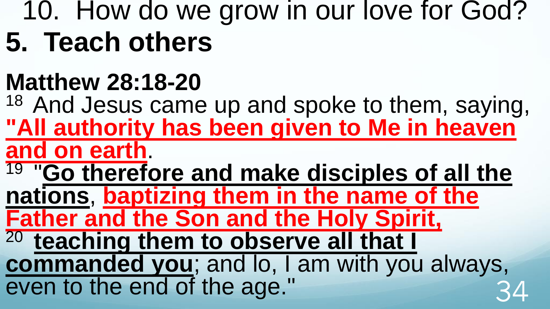## 10. How do we grow in our love for God? **5. Teach others**

## **Matthew 28:18-20**

<sup>18</sup> And Jesus came up and spoke to them, saying, **"All authority has been given to Me in heaven and on earth**.

19 "**Go therefore and make disciples of all the** 

**nations**, **baptizing them in the name of the Father and the Son and the Holy Spirit,** 

<sup>20</sup> teaching them to observe all that I

**commanded you**; and lo, I am with you always, even to the end of the age."